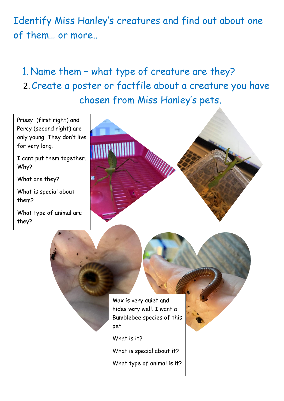Identify Miss Hanley's creatures and find out about one of them… or more..

## 1. Name them – what type of creature are they? 2.Create a poster or factfile about a creature you have chosen from Miss Hanley's pets.

for very long.

What are they?

Why?

them?

they?



What is special about it?

What type of animal is it?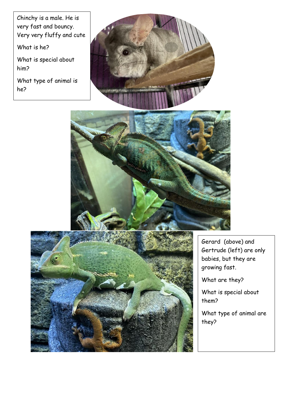Chinchy is a male. He is very fast and bouncy. Very very fluffy and cute

What is he?

What is special about him?

What type of animal is he?







Gerard (above) and Gertrude (left) are only babies, but they are growing fast.

 $\overline{\phantom{a}}$ 

What are they?

What is special about them?

What type of animal are they?